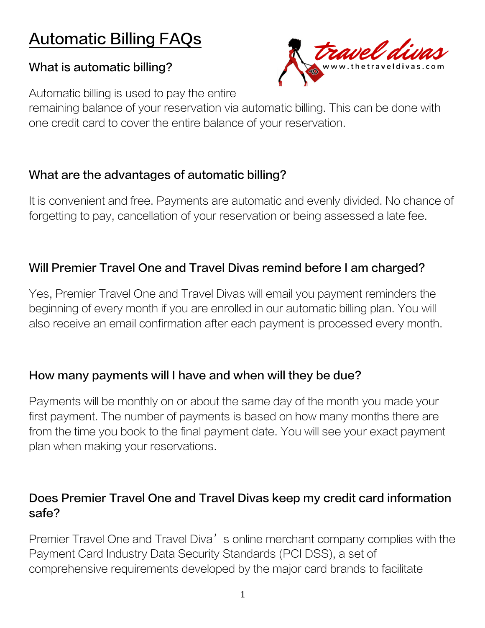# Automatic Billing FAQs

### What is automatic billing?



Automatic billing is used to pay the entire

remaining balance of your reservation via automatic billing. This can be done with one credit card to cover the entire balance of your reservation.

#### What are the advantages of automatic billing?

It is convenient and free. Payments are automatic and evenly divided. No chance of forgetting to pay, cancellation of your reservation or being assessed a late fee.

# Will Premier Travel One and Travel Divas remind before I am charged?

Yes, Premier Travel One and Travel Divas will email you payment reminders the beginning of every month if you are enrolled in our automatic billing plan. You will also receive an email confirmation after each payment is processed every month.

## How many payments will I have and when will they be due?

Payments will be monthly on or about the same day of the month you made your first payment. The number of payments is based on how many months there are from the time you book to the final payment date. You will see your exact payment plan when making your reservations.

## Does Premier Travel One and Travel Divas keep my credit card information safe?

Premier Travel One and Travel Diva's online merchant company complies with the Payment Card Industry Data Security Standards (PCI DSS), a set of comprehensive requirements developed by the major card brands to facilitate